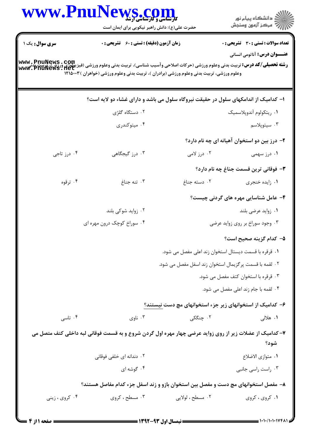|                | WWW.PnuNews.com<br>حضرت علی(ع): دانش راهبر نیکویی برای ایمان است                                                                                                                                                                                                                                                                        |                                                        | ِ<br>∭ دانشڪاه پيام نور<br>∭ مرڪز آزمون وسنڊش                                |
|----------------|-----------------------------------------------------------------------------------------------------------------------------------------------------------------------------------------------------------------------------------------------------------------------------------------------------------------------------------------|--------------------------------------------------------|------------------------------------------------------------------------------|
| سری سوال: یک ۱ | <b>زمان آزمون (دقیقه) : تستی : 60 گشریحی : 0</b>                                                                                                                                                                                                                                                                                        |                                                        | تعداد سوالات : تستي : 30 ٪ تشريحي : 0<br><b>عنـــوان درس:</b> آناتومی انسانی |
|                | <b>رشته تحصیلی/کد درس:</b> تربیت بدنی وعلوم ورزشی (حرکات اصلاحی وآسیب شناسی)، تربیت بدنی وعلوم ورزشی (فیزیولوژی ورزش)، تربیت پدنی<br>و <b>شته تحصیلی/کد درس:</b> تربیت بدنی وعلوم ورزشی (حرکات اصلاحی وآسیب شناسی)، تربیت بدنی وعلوم ورزشی<br>وعلوم ورزشی، تربیت بدنی وعلوم ورزشی (برادران )، تربیت بدنی وعلوم ورزشی (خواهران ) ۱۲۱۵۰۰۳ |                                                        |                                                                              |
|                | ۱– کدامیک از اندامکهای سلول در حقیقت نیروگاه سلول می باشد و دارای غشاء دو لایه است؟                                                                                                                                                                                                                                                     |                                                        |                                                                              |
|                | ۰۲ دستگاه گلژی                                                                                                                                                                                                                                                                                                                          |                                                        | ٠١ ريتكولوم أندوپلاسميك                                                      |
|                | ۰۴ میتوکندری                                                                                                                                                                                                                                                                                                                            |                                                        | ۰۳ سیتوپلاسم                                                                 |
|                |                                                                                                                                                                                                                                                                                                                                         |                                                        | ۲- درز بین دو استخوان آهیانه ای چه نام دارد؟                                 |
| ۰۴ درز تاجی    | ۰۳ درز گیجگاهی                                                                                                                                                                                                                                                                                                                          | ۰۲ درز لامی                                            | ۰۱ درز سهمی                                                                  |
|                |                                                                                                                                                                                                                                                                                                                                         |                                                        | <b>۳</b> - فوقانی ترین قسمت جناغ چه نام دارد؟                                |
| ۰۴ ترقوه       | ۰۳ تنه جناغ                                                                                                                                                                                                                                                                                                                             | ٠٢ دسته جناغ                                           | ٠١ زايده خنجري                                                               |
|                |                                                                                                                                                                                                                                                                                                                                         |                                                        | ۴– عامل شناسایی مهره های گردنی چیست؟                                         |
|                | ۰۲ زواید شوکی بلند                                                                                                                                                                                                                                                                                                                      |                                                        | ۰۱ زواید عرضی بلند                                                           |
|                | ۰۴ سوراخ کوچک درون مهره ای                                                                                                                                                                                                                                                                                                              |                                                        | ۰۳ وجود سوراخ بر روی زواید عرضی                                              |
|                |                                                                                                                                                                                                                                                                                                                                         |                                                        | ۵– کدام گزینه صحیح است؟                                                      |
|                |                                                                                                                                                                                                                                                                                                                                         | ۰۱ قرقره با قسمت دیستال استخوان زند اعلی مفصل می شود.  |                                                                              |
|                |                                                                                                                                                                                                                                                                                                                                         | ٠٢ لقمه با قسمت پرگزيمال استخوان زند اسفل مفصل مي شود. |                                                                              |
|                |                                                                                                                                                                                                                                                                                                                                         |                                                        | ۰۳ قرقره با استخوان کتف مفصل می شود.                                         |
|                |                                                                                                                                                                                                                                                                                                                                         |                                                        | ۰۴ لقمه با جام زند اعلی مفصل می شود.                                         |
|                |                                                                                                                                                                                                                                                                                                                                         |                                                        | ۶– کدامیک از استخوانهای زیر جزء استخوانهای مچ دست نیستند؟                    |
| ۰۴ تاسی        | ۰۳ ناوي                                                                                                                                                                                                                                                                                                                                 | ۲. چنگکی                                               | ۰۱ هلال <sub>ی</sub>                                                         |
|                | ۷– کدامیک از عضلات زیر از روی زواید عرضی چهار مهره اول گردن شروع و به قسمت فوقانی لبه داخلی کتف متصل می                                                                                                                                                                                                                                 |                                                        | شود؟                                                                         |
|                | ۲. دندانه ای خلفی فوقانی                                                                                                                                                                                                                                                                                                                |                                                        | ٠١ متوازى الاضلاع                                                            |
|                | ۰۴ گوشه ای                                                                                                                                                                                                                                                                                                                              |                                                        | ۰۳ راست راسی جانبی                                                           |
|                | ۸– مفصل استخوانهای مچ دست و مفصل بین استخوان بازو و زند اسفل جزء کدام مفاصل هستند؟                                                                                                                                                                                                                                                      |                                                        |                                                                              |
| ۰۴ کروی ، زینی | ۰۳ مسطح ، کروی                                                                                                                                                                                                                                                                                                                          | ٢. مسطح ، لولايي                                       | ۰۱ کروی ، کروی                                                               |
|                |                                                                                                                                                                                                                                                                                                                                         |                                                        |                                                                              |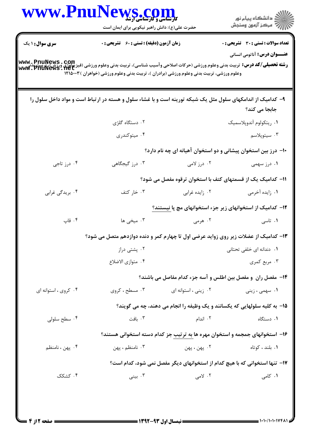|                      | WWW.PnuNews.com<br>حضرت علی(ع): دانش راهبر نیکویی برای ایمان است                                                                                                                                                                                |                      | ر<br>دانشڪاه پيام نور)<br>اڳ مرڪز آزمون وسنڊش                                |
|----------------------|-------------------------------------------------------------------------------------------------------------------------------------------------------------------------------------------------------------------------------------------------|----------------------|------------------------------------------------------------------------------|
| سری سوال: ۱ یک       | <b>زمان آزمون (دقیقه) : تستی : 60 ٪ تشریحی : 0</b>                                                                                                                                                                                              |                      | <b>تعداد سوالات : تستی : 30 ٪ تشریحی : 0</b>                                 |
|                      | <b>رشته تحصیلی/کد درس:</b> تربیت بدنی وعلوم ورزشی (حرکات اصلاحی وآسیب شناسی)، تربیت بدنی وعلوم ورزشی (فینگ ورزش)، تربیت بدنی<br>Www . PnuNews . net<br>وعلوم ورزشی، تربیت بدنی وعلوم ورزشی (برادران )، تربیت بدنی وعلوم ورزشی (خواهران )۱۲۱۵۰۰۳ |                      | <b>عنـــوان درس:</b> آناتومی انسانی                                          |
|                      | ۹- کدامیک از اندامکهای سلول مثل یک شبکه تورینه است و با غشاء سلول و هسته در ارتباط است و مواد داخل سلول را                                                                                                                                      |                      | جابجا می کند؟                                                                |
|                      | ۰۲ دستگاه گلژی                                                                                                                                                                                                                                  |                      | ٠١. ريتكولوم آندوپلاسميك                                                     |
|                      | ۰۴ میتوکندری                                                                                                                                                                                                                                    |                      | ۰۳ سيتوپلاسم                                                                 |
|                      |                                                                                                                                                                                                                                                 |                      | ∙۱- درز بین استخوان پیشانی و دو استخوان آهیانه ای چه نام دارد؟               |
| ۰۴ درز تاجی          | ۰۳ درز گیجگاهی                                                                                                                                                                                                                                  | ۰۲ درز لامی          | ۰۱ درز سهمی                                                                  |
|                      |                                                                                                                                                                                                                                                 |                      | 11– کدامیک یک از قسمتهای کتف با استخوان ترقوه مفصل می شود؟                   |
| ۰۴ بریدگی غرابی      | ۰۳ خار کتف                                                                                                                                                                                                                                      | ۰۲ زایده غرابی       | ۰۱ زایده آخرمی                                                               |
|                      |                                                                                                                                                                                                                                                 |                      | ۱۲– کدامیک از استخوانهای زیر جزء استخوانهای مچ پا نیستند؟                    |
| ۰۴ قاپ               | ۰۳ میخی ها                                                                                                                                                                                                                                      | ۰۲ هرمی              | ۰۱ تاسی                                                                      |
|                      | ۱۳– کدامیک از عضلات زیر روی زواید عرضی اول تا چهارم کمر و دنده دوازدهم متصل می شود؟                                                                                                                                                             |                      |                                                                              |
|                      | ۰۲ پشتی دراز                                                                                                                                                                                                                                    |                      | ۰۱ دندانه ای خلفی تحتانی                                                     |
|                      | ۰۴ متوازي الاضلاع                                                                                                                                                                                                                               |                      | ۰۳ مربع کمری                                                                 |
|                      |                                                                                                                                                                                                                                                 |                      | ۱۴- مفصل ران ًو مفصل بین اطلس و آسه جزء کدام مفاصل می باشند؟                 |
| ۰۴ کروی ، استوانه ای | ۰۳ مسطح ، کروی                                                                                                                                                                                                                                  | ۰۲ زينى ، استوانه اى | ۰۱ سهمی ، زینی                                                               |
|                      |                                                                                                                                                                                                                                                 |                      | 1۵- به کلیه سلولهایی که پکسانند و یک وظیفه را انجام می دهند، چه می گویند؟    |
| ۰۴ سطح سلولی         | ۰۳ بافت                                                                                                                                                                                                                                         | ۰۲ اندام             | ۰۱ دستگاه                                                                    |
|                      |                                                                                                                                                                                                                                                 |                      | ۱۶– استخوانهای جمجمه و استخوان مهره ها به ترتیب جز کدام دسته استخوانی هستند؟ |
| ۰۴ پهن ، نامنظم      | ۰۳ نامنظم ، پهن                                                                                                                                                                                                                                 | ۰۲ پهن ، پهن         | ۰۱ بلند ، کوتاه                                                              |
|                      |                                                                                                                                                                                                                                                 |                      | ۱۷- تنها استخوانی که با هیچ کدام از استخوانهای دیگر مفصل نمی شود، کدام است؟  |
| ۰۴ کشکک              | ۰۳ بينې $\cdot$                                                                                                                                                                                                                                 | ۲. لامی              | ۰۱ کامی                                                                      |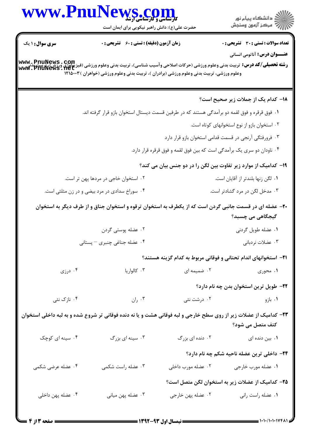| WWW.PnuNews.com                                                                                                                                                 | ِ<br>∭ دانشڪاه پيام نور<br>∭ مرڪز آزمون وسنڊش                                                                    |                                                                        |                                                                         |
|-----------------------------------------------------------------------------------------------------------------------------------------------------------------|------------------------------------------------------------------------------------------------------------------|------------------------------------------------------------------------|-------------------------------------------------------------------------|
|                                                                                                                                                                 | حضرت علی(ع): دانش راهبر نیکویی برای ایمان است                                                                    |                                                                        |                                                                         |
| <b>سری سوال : ۱ یک</b>                                                                                                                                          | زمان آزمون (دقیقه) : تستی : 60 ٪ تشریحی : 0                                                                      |                                                                        | <b>تعداد سوالات : تستی : 30 ٪ تشریحی : 0</b>                            |
|                                                                                                                                                                 |                                                                                                                  |                                                                        | <b>عنـــوان درس:</b> آناتومي انساني                                     |
| <b>رشته تحصیلی/کد درس:</b> تربیت بدنی وعلوم ورزشی (حرکات اصلاحی وآسیب شناسی)، تربیت بدنی وعلوم ورزشی (فیزیولوژی ورزش)، تربیت بدنی<br><b>www . PnuNews . Net</b> | وعلوم ورزشی، تربیت بدنی وعلوم ورزشی (برادران )، تربیت بدنی وعلوم ورزشی (خواهران )۱۲۱۵۰۰۳                         |                                                                        |                                                                         |
|                                                                                                                                                                 |                                                                                                                  |                                                                        |                                                                         |
|                                                                                                                                                                 |                                                                                                                  |                                                                        | <b>۱۸</b> – کدام یک از جملات زیر صحیح است؟                              |
|                                                                                                                                                                 | ۰۱ فوق قرقره و فوق لقمه دو برآمدگی هستند که در طرفین قسمت دیستال استخوان بازو قرار گرفته اند.                    |                                                                        |                                                                         |
|                                                                                                                                                                 |                                                                                                                  |                                                                        | ٠٢ استخوان بازو از نوع استخوانهای کوتاه است.                            |
|                                                                                                                                                                 |                                                                                                                  |                                                                        | ۰۳ فرورفتگی آرنجی در قسمت قدامی استخوان بازو قرار دارد                  |
|                                                                                                                                                                 |                                                                                                                  | ۰۴ ناودان دو سری یک برآمدگی است که بین فوق لقمه و فوق قرقره قرار دارد. |                                                                         |
|                                                                                                                                                                 |                                                                                                                  |                                                                        | ۱۹- کدامیک از موارد زیر تفاوت بین لگن را در دو جنس بیان می کند؟         |
|                                                                                                                                                                 | ۰۲ استخوان خاجی در مردها پهن تر است.                                                                             |                                                                        | ۰۱ لگن زنها بلندتر از آقایان است.                                       |
|                                                                                                                                                                 | ۰۴ سوراخ سدادی در مرد بیضی و در زن مثلثی است.                                                                    |                                                                        | ۰۳ مدخل لگن در مرد گشادتر است.                                          |
|                                                                                                                                                                 | +۲- عضله ای در قسمت جانبی گردن است که از یکطرف به استخوان ترقوه و استخوان جناق و از طرف دیگر به استخوان          |                                                                        |                                                                         |
|                                                                                                                                                                 |                                                                                                                  |                                                                        | گیجگاهی می چسبد؟                                                        |
|                                                                                                                                                                 | ۰۲ عضله پوستی گردن                                                                                               |                                                                        | ٠١ عضله طويل گردني                                                      |
|                                                                                                                                                                 | ۰۴ عضله جناغی چنبری – پستانی                                                                                     |                                                                        | ۰۳ عضلات نردبانی                                                        |
|                                                                                                                                                                 |                                                                                                                  |                                                                        | <b>۲۱</b> – استخوانهای اندام تحتانی و فوقانی مربوط به کدام گزینه هستند؟ |
| ۰۴ درزی                                                                                                                                                         | ۰۳ کالواریا                                                                                                      | ۰۲ ضمیمه ای                                                            | ۰۱ محوری                                                                |
|                                                                                                                                                                 |                                                                                                                  |                                                                        | <b>۲۲</b> – طویل ترین استخوان بدن چه نام دارد؟                          |
| ۰۴ نازک نئی                                                                                                                                                     | ۰۳ ران                                                                                                           | ۰۲ درشت نئی                                                            | ۰۱ بازو                                                                 |
|                                                                                                                                                                 | ۲۳– کدامیک از عضلات زیر از روی سطح خارجی و لبه فوقانی هشت و یا نه دنده فوقانی تر شروع شده و به لبه داخلی استخوان |                                                                        | کتف متصل می شود؟                                                        |
| ۰۴ سینه ای کوچک                                                                                                                                                 | ۰۳ سینه ای بزرگ                                                                                                  | ۰۲ دنده ای بزرگ                                                        | ۰۱ بین دنده ای                                                          |
|                                                                                                                                                                 |                                                                                                                  |                                                                        | ۲۴- داخلی ترین عضله ناحیه شکم چه نام دارد؟                              |
| ۰۴ عضله عرضی شکمی                                                                                                                                               | ۰۳ عضله راست شکمی                                                                                                | ۰۲ عضله مورب داخلی                                                     | ۰۱ عضله مورب خارجي                                                      |
|                                                                                                                                                                 |                                                                                                                  |                                                                        | ۲۵– کدامیک از عضلات زیر به استخوان لگن متصل است؟                        |
| ۰۴ عضله پهن داخلی                                                                                                                                               | ۰۳ عضله پهن ميانی                                                                                                | ۰۲ عضله پهن خارجي                                                      | ٠١ عضله راست راني                                                       |
|                                                                                                                                                                 |                                                                                                                  |                                                                        |                                                                         |